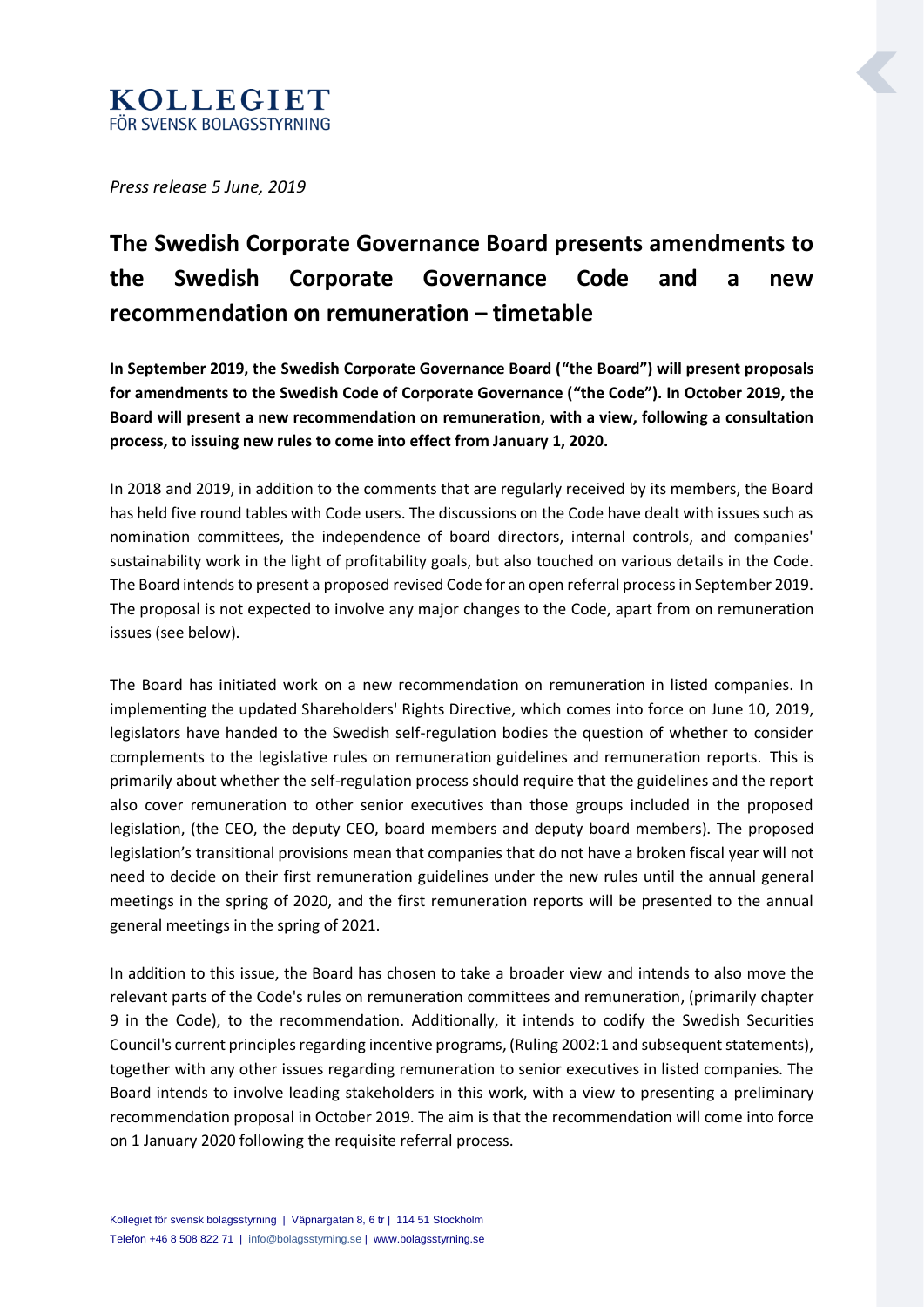

*Press release 5 June, 2019*

## **The Swedish Corporate Governance Board presents amendments to the Swedish Corporate Governance Code and a new recommendation on remuneration – timetable**

**In September 2019, the Swedish Corporate Governance Board ("the Board") will present proposals for amendments to the Swedish Code of Corporate Governance ("the Code"). In October 2019, the Board will present a new recommendation on remuneration, with a view, following a consultation process, to issuing new rules to come into effect from January 1, 2020.**

In 2018 and 2019, in addition to the comments that are regularly received by its members, the Board has held five round tables with Code users. The discussions on the Code have dealt with issues such as nomination committees, the independence of board directors, internal controls, and companies' sustainability work in the light of profitability goals, but also touched on various details in the Code. The Board intends to present a proposed revised Code for an open referral processin September 2019. The proposal is not expected to involve any major changes to the Code, apart from on remuneration issues (see below).

The Board has initiated work on a new recommendation on remuneration in listed companies. In implementing the updated Shareholders' Rights Directive, which comes into force on June 10, 2019, legislators have handed to the Swedish self-regulation bodies the question of whether to consider complements to the legislative rules on remuneration guidelines and remuneration reports. This is primarily about whether the self-regulation process should require that the guidelines and the report also cover remuneration to other senior executives than those groups included in the proposed legislation, (the CEO, the deputy CEO, board members and deputy board members). The proposed legislation's transitional provisions mean that companies that do not have a broken fiscal year will not need to decide on their first remuneration guidelines under the new rules until the annual general meetings in the spring of 2020, and the first remuneration reports will be presented to the annual general meetings in the spring of 2021.

In addition to this issue, the Board has chosen to take a broader view and intends to also move the relevant parts of the Code's rules on remuneration committees and remuneration, (primarily chapter 9 in the Code), to the recommendation. Additionally, it intends to codify the Swedish Securities Council's current principles regarding incentive programs, (Ruling 2002:1 and subsequent statements), together with any other issues regarding remuneration to senior executives in listed companies. The Board intends to involve leading stakeholders in this work, with a view to presenting a preliminary recommendation proposal in October 2019. The aim is that the recommendation will come into force on 1 January 2020 following the requisite referral process.